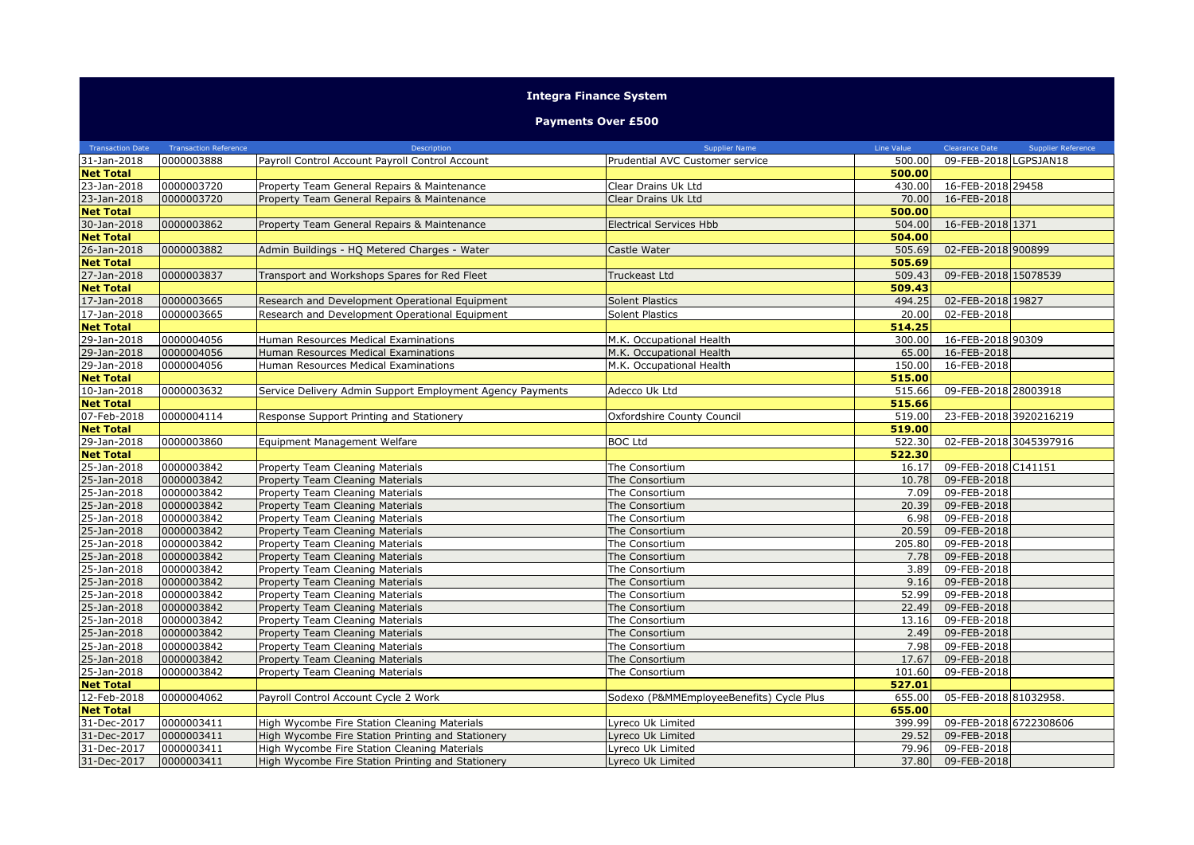## **Integra Finance System**

## **Payments Over £500**

| <b>Transaction Date</b> | <b>Transaction Reference</b> | Description                                               | <b>Supplier Name</b>                     | Line Value | <b>Clearance Date</b><br><b>Supplier Reference</b> |
|-------------------------|------------------------------|-----------------------------------------------------------|------------------------------------------|------------|----------------------------------------------------|
| 31-Jan-2018             | 0000003888                   | Payroll Control Account Payroll Control Account           | Prudential AVC Customer service          | 500.00     | 09-FEB-2018 LGPSJAN18                              |
| <b>Net Total</b>        |                              |                                                           |                                          | 500.00     |                                                    |
| 23-Jan-2018             | 0000003720                   | Property Team General Repairs & Maintenance               | Clear Drains Uk Ltd                      | 430.00     | 16-FEB-2018 29458                                  |
| 23-Jan-2018             | 0000003720                   | Property Team General Repairs & Maintenance               | Clear Drains Uk Ltd                      | 70.00      | 16-FEB-2018                                        |
| <b>Net Total</b>        |                              |                                                           |                                          | 500.00     |                                                    |
| 30-Jan-2018             | 0000003862                   | Property Team General Repairs & Maintenance               | <b>Electrical Services Hbb</b>           | 504.00     | 16-FEB-2018 1371                                   |
| <b>Net Total</b>        |                              |                                                           |                                          | 504.00     |                                                    |
| 26-Jan-2018             | 0000003882                   | Admin Buildings - HQ Metered Charges - Water              | Castle Water                             | 505.69     | 02-FEB-2018 900899                                 |
| <b>Net Total</b>        |                              |                                                           |                                          | 505.69     |                                                    |
| 27-Jan-2018             | 0000003837                   | Transport and Workshops Spares for Red Fleet              | Truckeast Ltd                            | 509.43     | 09-FEB-2018 15078539                               |
| <b>Net Total</b>        |                              |                                                           |                                          | 509.43     |                                                    |
| 17-Jan-2018             | 0000003665                   | Research and Development Operational Equipment            | <b>Solent Plastics</b>                   | 494.25     | 02-FEB-2018 19827                                  |
| 17-Jan-2018             | 0000003665                   | Research and Development Operational Equipment            | <b>Solent Plastics</b>                   | 20.00      | 02-FEB-2018                                        |
| <b>Net Total</b>        |                              |                                                           |                                          | 514.25     |                                                    |
| 29-Jan-2018             | 0000004056                   | Human Resources Medical Examinations                      | M.K. Occupational Health                 | 300.00     | 16-FEB-2018 90309                                  |
| 29-Jan-2018             | 0000004056                   | Human Resources Medical Examinations                      | M.K. Occupational Health                 | 65.00      | 16-FEB-2018                                        |
| 29-Jan-2018             | 0000004056                   | Human Resources Medical Examinations                      | M.K. Occupational Health                 | 150.00     | 16-FEB-2018                                        |
| <b>Net Total</b>        |                              |                                                           |                                          | 515.00     |                                                    |
| 10-Jan-2018             | 0000003632                   | Service Delivery Admin Support Employment Agency Payments | Adecco Uk Ltd                            | 515.66     | 09-FEB-2018 28003918                               |
| <b>Net Total</b>        |                              |                                                           |                                          | 515.66     |                                                    |
| 07-Feb-2018             | 0000004114                   | Response Support Printing and Stationery                  | Oxfordshire County Council               | 519.00     | 23-FEB-2018 3920216219                             |
| <b>Net Total</b>        |                              |                                                           |                                          | 519.00     |                                                    |
| 29-Jan-2018             | 0000003860                   | <b>Equipment Management Welfare</b>                       | <b>BOC Ltd</b>                           | 522.30     | 02-FEB-2018 3045397916                             |
| <b>Net Total</b>        |                              |                                                           |                                          | 522.30     |                                                    |
| 25-Jan-2018             | 0000003842                   | Property Team Cleaning Materials                          | The Consortium                           | 16.17      | 09-FEB-2018 C141151                                |
| 25-Jan-2018             | 0000003842                   | Property Team Cleaning Materials                          | The Consortium                           | 10.78      | 09-FEB-2018                                        |
| 25-Jan-2018             | 0000003842                   | Property Team Cleaning Materials                          | The Consortium                           | 7.09       | 09-FEB-2018                                        |
| 25-Jan-2018             | 0000003842                   | Property Team Cleaning Materials                          | The Consortium                           | 20.39      | 09-FEB-2018                                        |
| 25-Jan-2018             | 0000003842                   | Property Team Cleaning Materials                          | The Consortium                           | 6.98       | 09-FEB-2018                                        |
| 25-Jan-2018             | 0000003842                   | Property Team Cleaning Materials                          | The Consortium                           | 20.59      | 09-FEB-2018                                        |
| 25-Jan-2018             | 0000003842                   | Property Team Cleaning Materials                          | The Consortium                           | 205.80     | 09-FEB-2018                                        |
| 25-Jan-2018             | 0000003842                   | Property Team Cleaning Materials                          | The Consortium                           | 7.78       | 09-FEB-2018                                        |
| 25-Jan-2018             | 0000003842                   | Property Team Cleaning Materials                          | The Consortium                           | 3.89       | 09-FEB-2018                                        |
| 25-Jan-2018             | 0000003842                   | Property Team Cleaning Materials                          | The Consortium                           | 9.16       | 09-FEB-2018                                        |
| 25-Jan-2018             | 0000003842                   | <b>Property Team Cleaning Materials</b>                   | The Consortium                           | 52.99      | 09-FEB-2018                                        |
| 25-Jan-2018             | 0000003842                   | Property Team Cleaning Materials                          | The Consortium                           | 22.49      | 09-FEB-2018                                        |
| 25-Jan-2018             | 0000003842                   | Property Team Cleaning Materials                          | The Consortium                           | 13.16      | 09-FEB-2018                                        |
| 25-Jan-2018             | 0000003842                   | Property Team Cleaning Materials                          | The Consortium                           | 2.49       | 09-FEB-2018                                        |
| 25-Jan-2018             | 0000003842                   | Property Team Cleaning Materials                          | The Consortium                           | 7.98       | 09-FEB-2018                                        |
| 25-Jan-2018             | 0000003842                   | Property Team Cleaning Materials                          | The Consortium                           | 17.67      | 09-FEB-2018                                        |
| 25-Jan-2018             | 0000003842                   | Property Team Cleaning Materials                          | The Consortium                           | 101.60     | 09-FEB-2018                                        |
| <b>Net Total</b>        |                              |                                                           |                                          | 527.01     |                                                    |
| 12-Feb-2018             | 0000004062                   | Payroll Control Account Cycle 2 Work                      | Sodexo (P&MMEmployeeBenefits) Cycle Plus | 655.00     | 05-FEB-2018 81032958.                              |
| <b>Net Total</b>        |                              |                                                           |                                          | 655.00     |                                                    |
| 31-Dec-2017             | 0000003411                   | High Wycombe Fire Station Cleaning Materials              | vreco Uk Limited                         | 399.99     | 09-FEB-2018 6722308606                             |
| 31-Dec-2017             | 0000003411                   | High Wycombe Fire Station Printing and Stationery         | vreco Uk Limited                         | 29.52      | 09-FEB-2018                                        |
| 31-Dec-2017             | 0000003411                   | High Wycombe Fire Station Cleaning Materials              | vreco Uk Limited                         | 79.96      | 09-FEB-2018                                        |
| 31-Dec-2017             | 0000003411                   | High Wycombe Fire Station Printing and Stationery         | yreco Uk Limited                         | 37.80      | 09-FEB-2018                                        |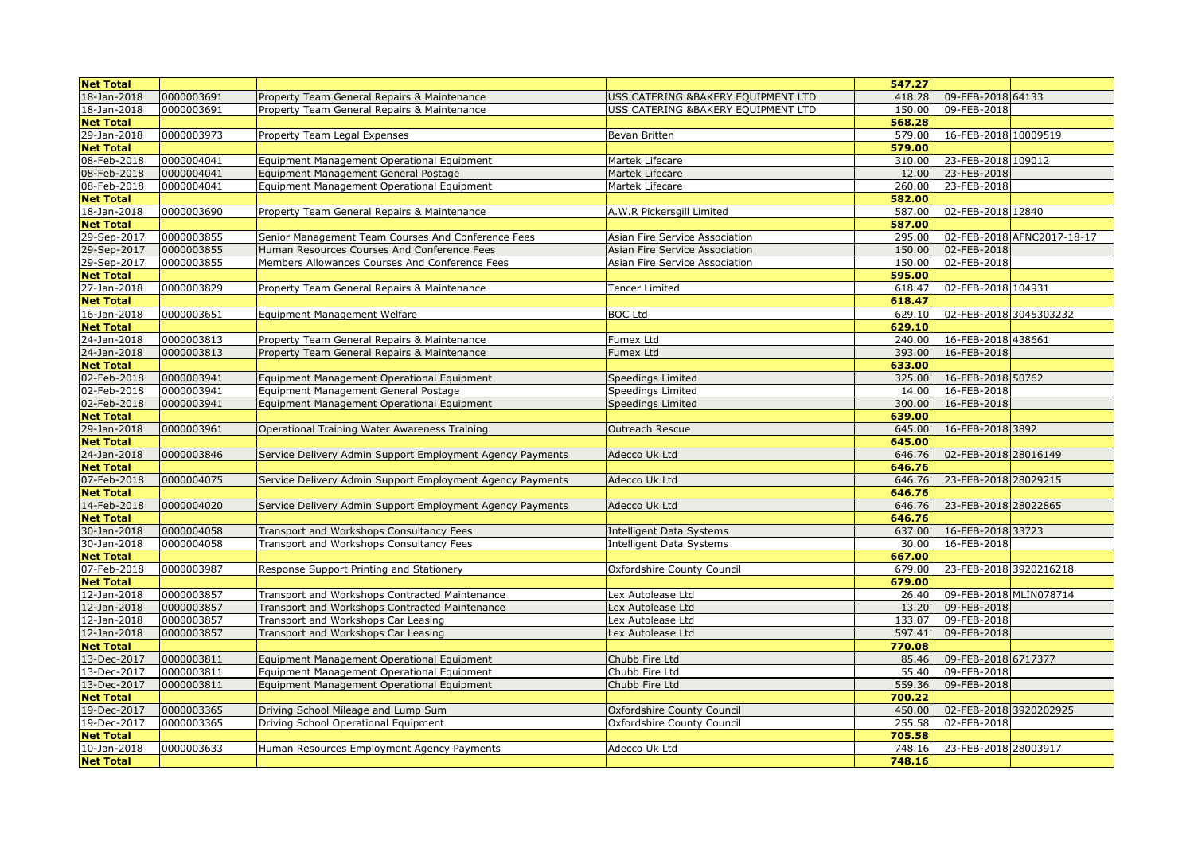| <b>Net Total</b> |            |                                                           |                                     | 547.27 |                            |
|------------------|------------|-----------------------------------------------------------|-------------------------------------|--------|----------------------------|
| 18-Jan-2018      | 0000003691 | Property Team General Repairs & Maintenance               | USS CATERING &BAKERY EQUIPMENT LTD  | 418.28 | 09-FEB-2018 64133          |
| 18-Jan-2018      | 0000003691 | Property Team General Repairs & Maintenance               | USS CATERING & BAKERY EQUIPMENT LTD | 150.00 | 09-FEB-2018                |
| <b>Net Total</b> |            |                                                           |                                     | 568.28 |                            |
| 29-Jan-2018      | 0000003973 | Property Team Legal Expenses                              | Bevan Britten                       | 579.00 | 16-FEB-2018 10009519       |
| <b>Net Total</b> |            |                                                           |                                     | 579.00 |                            |
| 08-Feb-2018      | 0000004041 | Equipment Management Operational Equipment                | Martek Lifecare                     | 310.00 | 23-FEB-2018 109012         |
| 08-Feb-2018      | 0000004041 | Equipment Management General Postage                      | Martek Lifecare                     | 12.00  | 23-FEB-2018                |
| 08-Feb-2018      | 0000004041 | Equipment Management Operational Equipment                | Martek Lifecare                     | 260.00 | 23-FEB-2018                |
| <b>Net Total</b> |            |                                                           |                                     | 582.00 |                            |
| 18-Jan-2018      | 0000003690 | Property Team General Repairs & Maintenance               | A.W.R Pickersgill Limited           | 587.00 | 02-FEB-2018 12840          |
| <b>Net Total</b> |            |                                                           |                                     | 587.00 |                            |
| 29-Sep-2017      | 0000003855 | Senior Management Team Courses And Conference Fees        | Asian Fire Service Association      | 295.00 | 02-FEB-2018 AFNC2017-18-17 |
| 29-Sep-2017      | 0000003855 | Human Resources Courses And Conference Fees               | Asian Fire Service Association      | 150.00 | 02-FEB-2018                |
| 29-Sep-2017      | 0000003855 | Members Allowances Courses And Conference Fees            | Asian Fire Service Association      | 150.00 | 02-FEB-2018                |
| <b>Net Total</b> |            |                                                           |                                     | 595.00 |                            |
| 27-Jan-2018      | 0000003829 | Property Team General Repairs & Maintenance               | Tencer Limited                      | 618.47 | 02-FEB-2018 104931         |
| <b>Net Total</b> |            |                                                           |                                     | 618.47 |                            |
| 16-Jan-2018      | 0000003651 | Equipment Management Welfare                              | <b>BOC Ltd</b>                      | 629.10 | 02-FEB-2018 3045303232     |
| <b>Net Total</b> |            |                                                           |                                     | 629.10 |                            |
| 24-Jan-2018      | 0000003813 | Property Team General Repairs & Maintenance               | Fumex Ltd                           | 240.00 | 16-FEB-2018 438661         |
| 24-Jan-2018      | 0000003813 | Property Team General Repairs & Maintenance               | Fumex Ltd                           | 393.00 | 16-FEB-2018                |
| <b>Net Total</b> |            |                                                           |                                     | 633.00 |                            |
| 02-Feb-2018      | 0000003941 | Equipment Management Operational Equipment                | Speedings Limited                   | 325.00 | 16-FEB-2018 50762          |
| 02-Feb-2018      | 0000003941 | Equipment Management General Postage                      | Speedings Limited                   | 14.00  | 16-FEB-2018                |
| 02-Feb-2018      | 0000003941 | Equipment Management Operational Equipment                | Speedings Limited                   | 300.00 | 16-FEB-2018                |
| <b>Net Total</b> |            |                                                           |                                     | 639.00 |                            |
| 29-Jan-2018      | 0000003961 | Operational Training Water Awareness Training             | <b>Outreach Rescue</b>              | 645.00 | 16-FEB-2018 3892           |
| <b>Net Total</b> |            |                                                           |                                     | 645.00 |                            |
| 24-Jan-2018      | 0000003846 | Service Delivery Admin Support Employment Agency Payments | Adecco Uk Ltd                       | 646.76 | 02-FEB-2018 28016149       |
| <b>Net Total</b> |            |                                                           |                                     | 646.76 |                            |
| 07-Feb-2018      | 0000004075 | Service Delivery Admin Support Employment Agency Payments | Adecco Uk Ltd                       | 646.76 | 23-FEB-2018 28029215       |
| <b>Net Total</b> |            |                                                           |                                     | 646.76 |                            |
| 14-Feb-2018      | 0000004020 | Service Delivery Admin Support Employment Agency Payments | Adecco Uk Ltd                       | 646.76 | 23-FEB-2018 28022865       |
| <b>Net Total</b> |            |                                                           |                                     | 646.76 |                            |
| 30-Jan-2018      | 0000004058 | Transport and Workshops Consultancy Fees                  | <b>Intelligent Data Systems</b>     | 637.00 | 16-FEB-2018 33723          |
| 30-Jan-2018      | 0000004058 | Transport and Workshops Consultancy Fees                  | <b>Intelligent Data Systems</b>     | 30.00  | 16-FEB-2018                |
| <b>Net Total</b> |            |                                                           |                                     | 667.00 |                            |
| 07-Feb-2018      | 0000003987 | Response Support Printing and Stationery                  | Oxfordshire County Council          | 679.00 | 23-FEB-2018 3920216218     |
| <b>Net Total</b> |            |                                                           |                                     | 679.00 |                            |
| 12-Jan-2018      | 0000003857 | Transport and Workshops Contracted Maintenance            | Lex Autolease Ltd                   | 26.40  | 09-FEB-2018 MLIN078714     |
| 12-Jan-2018      | 0000003857 | Transport and Workshops Contracted Maintenance            | Lex Autolease Ltd                   | 13.20  | 09-FEB-2018                |
| 12-Jan-2018      | 0000003857 | Transport and Workshops Car Leasing                       | Lex Autolease Ltd                   | 133.07 | 09-FEB-2018                |
| 12-Jan-2018      | 0000003857 | Transport and Workshops Car Leasing                       | Lex Autolease Ltd                   | 597.41 | 09-FEB-2018                |
| <b>Net Total</b> |            |                                                           |                                     | 770.08 |                            |
| 13-Dec-2017      | 0000003811 | Equipment Management Operational Equipment                | Chubb Fire Ltd                      | 85.46  | 09-FEB-2018 6717377        |
| 13-Dec-2017      | 0000003811 | Equipment Management Operational Equipment                | Chubb Fire Ltd                      | 55.40  | 09-FEB-2018                |
| 13-Dec-2017      | 0000003811 | Equipment Management Operational Equipment                | Chubb Fire Ltd                      | 559.36 | 09-FEB-2018                |
| <b>Net Total</b> |            |                                                           |                                     | 700.22 |                            |
| 19-Dec-2017      | 0000003365 | Driving School Mileage and Lump Sum                       | Oxfordshire County Council          | 450.00 | 02-FEB-2018 3920202925     |
| 19-Dec-2017      | 0000003365 | Driving School Operational Equipment                      | Oxfordshire County Council          | 255.58 | 02-FEB-2018                |
| <b>Net Total</b> |            |                                                           |                                     | 705.58 |                            |
| 10-Jan-2018      | 0000003633 | Human Resources Employment Agency Payments                | Adecco Uk Ltd                       | 748.16 | 23-FEB-2018 28003917       |
| <b>Net Total</b> |            |                                                           |                                     | 748.16 |                            |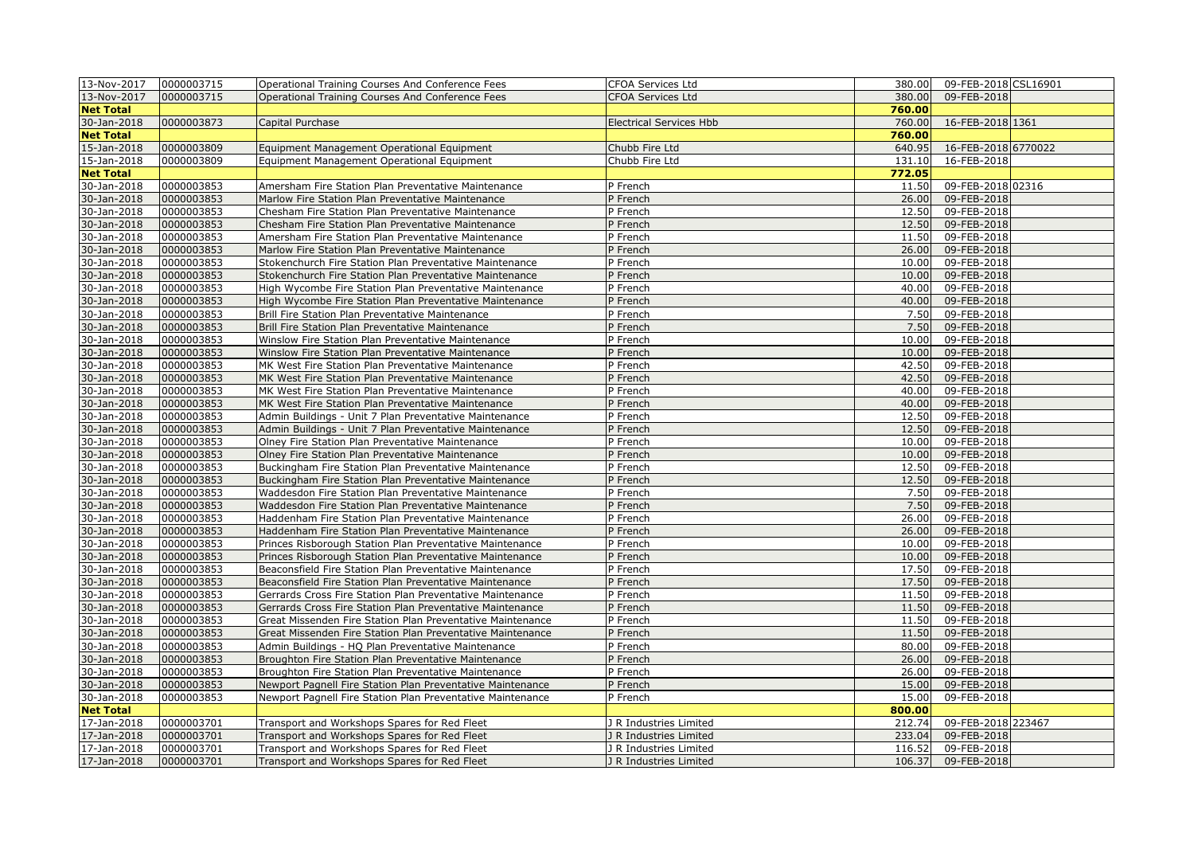| 13-Nov-2017      | 0000003715 | Operational Training Courses And Conference Fees           | CFOA Services Ltd              | 380.00 | 09-FEB-2018 CSL16901 |  |
|------------------|------------|------------------------------------------------------------|--------------------------------|--------|----------------------|--|
| 13-Nov-2017      | 0000003715 | Operational Training Courses And Conference Fees           | <b>CFOA Services Ltd</b>       | 380.00 | 09-FEB-2018          |  |
| <b>Net Total</b> |            |                                                            |                                | 760.00 |                      |  |
| 30-Jan-2018      | 0000003873 | Capital Purchase                                           | <b>Electrical Services Hbb</b> | 760.00 | 16-FEB-2018 1361     |  |
| <b>Net Total</b> |            |                                                            |                                | 760.00 |                      |  |
| 15-Jan-2018      | 0000003809 | Equipment Management Operational Equipment                 | Chubb Fire Ltd                 | 640.95 | 16-FEB-2018 6770022  |  |
| 15-Jan-2018      | 0000003809 | Equipment Management Operational Equipment                 | Chubb Fire Ltd                 | 131.10 | 16-FEB-2018          |  |
| <b>Net Total</b> |            |                                                            |                                | 772.05 |                      |  |
| 30-Jan-2018      | 0000003853 | Amersham Fire Station Plan Preventative Maintenance        | P French                       | 11.50  | 09-FEB-2018 02316    |  |
| 30-Jan-2018      | 0000003853 | Marlow Fire Station Plan Preventative Maintenance          | P French                       | 26.00  | 09-FEB-2018          |  |
| 30-Jan-2018      | 0000003853 | Chesham Fire Station Plan Preventative Maintenance         | P French                       | 12.50  | 09-FEB-2018          |  |
| 30-Jan-2018      | 0000003853 | Chesham Fire Station Plan Preventative Maintenance         | P French                       | 12.50  | 09-FEB-2018          |  |
| 30-Jan-2018      | 0000003853 | Amersham Fire Station Plan Preventative Maintenance        | P French                       | 11.50  | 09-FEB-2018          |  |
| 30-Jan-2018      | 0000003853 | Marlow Fire Station Plan Preventative Maintenance          | P French                       | 26.00  | 09-FEB-2018          |  |
| 30-Jan-2018      | 0000003853 | Stokenchurch Fire Station Plan Preventative Maintenance    | P French                       | 10.00  | 09-FEB-2018          |  |
| 30-Jan-2018      | 0000003853 | Stokenchurch Fire Station Plan Preventative Maintenance    | P French                       | 10.00  | 09-FEB-2018          |  |
| 30-Jan-2018      | 0000003853 | High Wycombe Fire Station Plan Preventative Maintenance    | P French                       | 40.00  | 09-FEB-2018          |  |
| 30-Jan-2018      | 0000003853 | High Wycombe Fire Station Plan Preventative Maintenance    | P French                       | 40.00  | 09-FEB-2018          |  |
| 30-Jan-2018      | 0000003853 | Brill Fire Station Plan Preventative Maintenance           | P French                       | 7.50   | 09-FEB-2018          |  |
| 30-Jan-2018      | 0000003853 | Brill Fire Station Plan Preventative Maintenance           | P French                       | 7.50   | 09-FEB-2018          |  |
| 30-Jan-2018      | 0000003853 | Winslow Fire Station Plan Preventative Maintenance         | P French                       | 10.00  | 09-FEB-2018          |  |
| 30-Jan-2018      | 0000003853 | Winslow Fire Station Plan Preventative Maintenance         | P French                       | 10.00  | 09-FEB-2018          |  |
| 30-Jan-2018      | 0000003853 |                                                            | P French                       | 42.50  | 09-FEB-2018          |  |
|                  |            | MK West Fire Station Plan Preventative Maintenance         |                                | 42.50  |                      |  |
| 30-Jan-2018      | 0000003853 | MK West Fire Station Plan Preventative Maintenance         | P French                       |        | 09-FEB-2018          |  |
| 30-Jan-2018      | 0000003853 | MK West Fire Station Plan Preventative Maintenance         | P French                       | 40.00  | 09-FEB-2018          |  |
| 30-Jan-2018      | 0000003853 | MK West Fire Station Plan Preventative Maintenance         | P French                       | 40.00  | 09-FEB-2018          |  |
| 30-Jan-2018      | 0000003853 | Admin Buildings - Unit 7 Plan Preventative Maintenance     | P French                       | 12.50  | 09-FEB-2018          |  |
| 30-Jan-2018      | 0000003853 | Admin Buildings - Unit 7 Plan Preventative Maintenance     | P French                       | 12.50  | 09-FEB-2018          |  |
| 30-Jan-2018      | 0000003853 | Olney Fire Station Plan Preventative Maintenance           | P French                       | 10.00  | 09-FEB-2018          |  |
| 30-Jan-2018      | 0000003853 | Olney Fire Station Plan Preventative Maintenance           | P French                       | 10.00  | 09-FEB-2018          |  |
| 30-Jan-2018      | 0000003853 | Buckingham Fire Station Plan Preventative Maintenance      | P French                       | 12.50  | 09-FEB-2018          |  |
| 30-Jan-2018      | 0000003853 | Buckingham Fire Station Plan Preventative Maintenance      | P French                       | 12.50  | 09-FEB-2018          |  |
| 30-Jan-2018      | 0000003853 | Waddesdon Fire Station Plan Preventative Maintenance       | P French                       | 7.50   | 09-FEB-2018          |  |
| 30-Jan-2018      | 0000003853 | Waddesdon Fire Station Plan Preventative Maintenance       | P French                       | 7.50   | 09-FEB-2018          |  |
| 30-Jan-2018      | 0000003853 | Haddenham Fire Station Plan Preventative Maintenance       | P French                       | 26.00  | 09-FEB-2018          |  |
| 30-Jan-2018      | 0000003853 | Haddenham Fire Station Plan Preventative Maintenance       | P French                       | 26.00  | 09-FEB-2018          |  |
| 30-Jan-2018      | 0000003853 | Princes Risborough Station Plan Preventative Maintenance   | P French                       | 10.00  | 09-FEB-2018          |  |
| 30-Jan-2018      | 0000003853 | Princes Risborough Station Plan Preventative Maintenance   | P French                       | 10.00  | 09-FEB-2018          |  |
| 30-Jan-2018      | 0000003853 | Beaconsfield Fire Station Plan Preventative Maintenance    | P French                       | 17.50  | 09-FEB-2018          |  |
| 30-Jan-2018      | 0000003853 | Beaconsfield Fire Station Plan Preventative Maintenance    | P French                       | 17.50  | 09-FEB-2018          |  |
| 30-Jan-2018      | 0000003853 | Gerrards Cross Fire Station Plan Preventative Maintenance  | P French                       | 11.50  | 09-FEB-2018          |  |
| 30-Jan-2018      | 0000003853 | Gerrards Cross Fire Station Plan Preventative Maintenance  | P French                       | 11.50  | 09-FEB-2018          |  |
| 30-Jan-2018      | 0000003853 | Great Missenden Fire Station Plan Preventative Maintenance | P French                       | 11.50  | 09-FEB-2018          |  |
| 30-Jan-2018      | 0000003853 | Great Missenden Fire Station Plan Preventative Maintenance | P French                       | 11.50  | 09-FEB-2018          |  |
| 30-Jan-2018      | 0000003853 | Admin Buildings - HQ Plan Preventative Maintenance         | P French                       | 80.00  | 09-FEB-2018          |  |
| 30-Jan-2018      | 0000003853 | Broughton Fire Station Plan Preventative Maintenance       | P French                       | 26.00  | 09-FEB-2018          |  |
| 30-Jan-2018      | 0000003853 | Broughton Fire Station Plan Preventative Maintenance       | P French                       | 26.00  | 09-FEB-2018          |  |
| 30-Jan-2018      | 0000003853 | Newport Pagnell Fire Station Plan Preventative Maintenance | P French                       | 15.00  | 09-FEB-2018          |  |
| 30-Jan-2018      | 0000003853 | Newport Pagnell Fire Station Plan Preventative Maintenance | P French                       | 15.00  | 09-FEB-2018          |  |
| <b>Net Total</b> |            |                                                            |                                | 800.00 |                      |  |
| 17-Jan-2018      | 0000003701 | Transport and Workshops Spares for Red Fleet               | J R Industries Limited         | 212.74 | 09-FEB-2018 223467   |  |
| 17-Jan-2018      | 0000003701 | Transport and Workshops Spares for Red Fleet               | J R Industries Limited         | 233.04 | 09-FEB-2018          |  |
| 17-Jan-2018      | 0000003701 | Transport and Workshops Spares for Red Fleet               | J R Industries Limited         | 116.52 | 09-FEB-2018          |  |
| 17-Jan-2018      | 0000003701 | Transport and Workshops Spares for Red Fleet               | J R Industries Limited         | 106.37 | 09-FEB-2018          |  |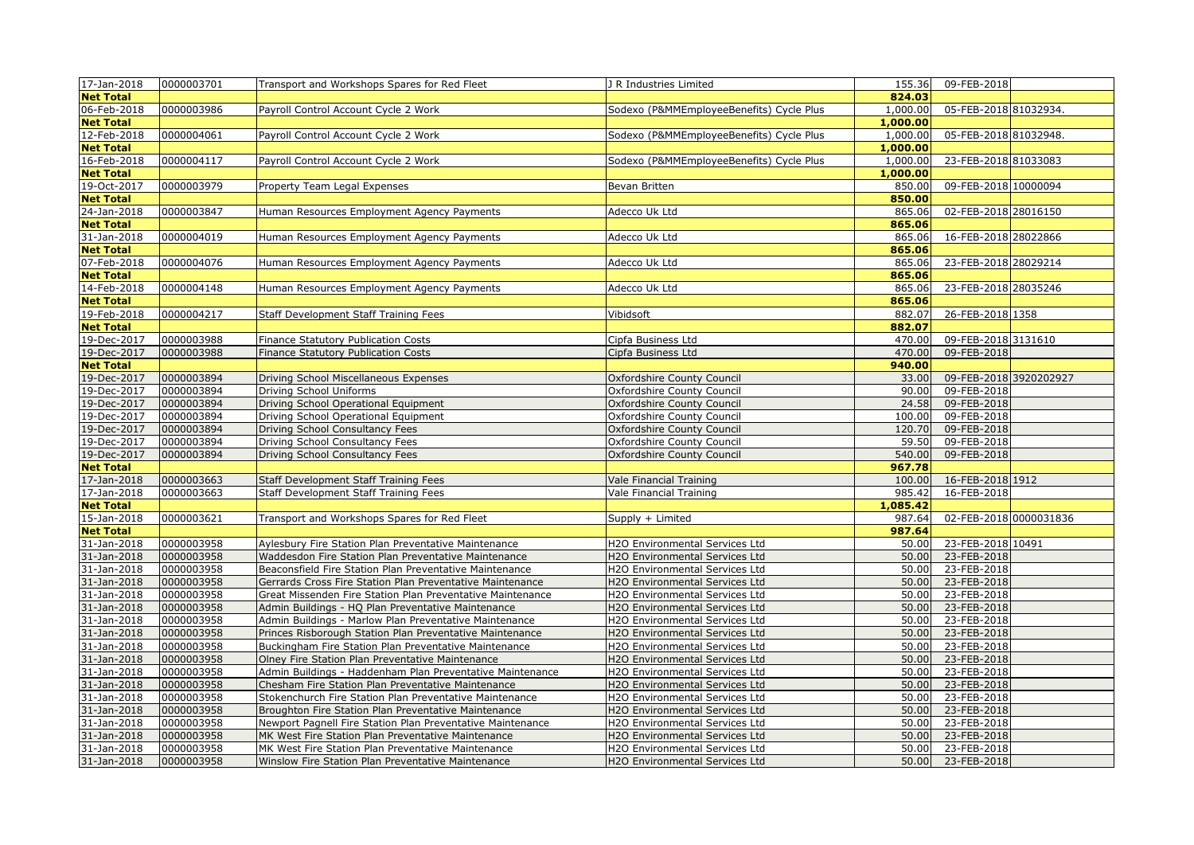| 17-Jan-2018      | 0000003701 | Transport and Workshops Spares for Red Fleet                            | J R Industries Limited                   | 155.36   | 09-FEB-2018            |  |
|------------------|------------|-------------------------------------------------------------------------|------------------------------------------|----------|------------------------|--|
| <b>Net Total</b> |            |                                                                         |                                          | 824.03   |                        |  |
| 06-Feb-2018      | 0000003986 | Payroll Control Account Cycle 2 Work                                    | Sodexo (P&MMEmployeeBenefits) Cycle Plus | 1,000.00 | 05-FEB-2018 81032934.  |  |
| <b>Net Total</b> |            |                                                                         |                                          | 1,000.00 |                        |  |
| 12-Feb-2018      | 0000004061 | Payroll Control Account Cycle 2 Work                                    | Sodexo (P&MMEmployeeBenefits) Cycle Plus | 1,000.00 | 05-FEB-2018 81032948.  |  |
| <b>Net Total</b> |            |                                                                         |                                          | 1,000.00 |                        |  |
| 16-Feb-2018      | 0000004117 | Payroll Control Account Cycle 2 Work                                    | Sodexo (P&MMEmployeeBenefits) Cycle Plus | 1,000.00 | 23-FEB-2018 81033083   |  |
| <b>Net Total</b> |            |                                                                         |                                          | 1,000.00 |                        |  |
| 19-Oct-2017      | 0000003979 | Property Team Legal Expenses                                            | Bevan Britten                            | 850.00   | 09-FEB-2018 10000094   |  |
| <b>Net Total</b> |            |                                                                         |                                          | 850.00   |                        |  |
| 24-Jan-2018      | 0000003847 | Human Resources Employment Agency Payments                              | Adecco Uk Ltd                            | 865.06   | 02-FEB-2018 28016150   |  |
| <b>Net Total</b> |            |                                                                         |                                          | 865.06   |                        |  |
| 31-Jan-2018      | 0000004019 | Human Resources Employment Agency Payments                              | Adecco Uk Ltd                            | 865.06   | 16-FEB-2018 28022866   |  |
| <b>Net Total</b> |            |                                                                         |                                          | 865.06   |                        |  |
| 07-Feb-2018      | 0000004076 | Human Resources Employment Agency Payments                              | Adecco Uk Ltd                            | 865.06   | 23-FEB-2018 28029214   |  |
| <b>Net Total</b> |            |                                                                         |                                          | 865.06   |                        |  |
| 14-Feb-2018      | 0000004148 | Human Resources Employment Agency Payments                              | Adecco Uk Ltd                            | 865.06   | 23-FEB-2018 28035246   |  |
| <b>Net Total</b> |            |                                                                         |                                          | 865.06   |                        |  |
| 19-Feb-2018      | 0000004217 | Staff Development Staff Training Fees                                   | Vibidsoft                                | 882.07   | 26-FEB-2018 1358       |  |
| <b>Net Total</b> |            |                                                                         |                                          | 882.07   |                        |  |
| 19-Dec-2017      | 0000003988 | Finance Statutory Publication Costs                                     | Cipfa Business Ltd                       | 470.00   | 09-FEB-2018 3131610    |  |
| 19-Dec-2017      | 0000003988 | Finance Statutory Publication Costs                                     | Cipfa Business Ltd                       | 470.00   | 09-FEB-2018            |  |
| <b>Net Total</b> |            |                                                                         |                                          | 940.00   |                        |  |
| 19-Dec-2017      | 0000003894 | Driving School Miscellaneous Expenses                                   | Oxfordshire County Council               | 33.00    | 09-FEB-2018 3920202927 |  |
| 19-Dec-2017      | 0000003894 | Driving School Uniforms                                                 | Oxfordshire County Council               | 90.00    | 09-FEB-2018            |  |
| 19-Dec-2017      | 0000003894 | Driving School Operational Equipment                                    | Oxfordshire County Council               | 24.58    | 09-FEB-2018            |  |
| 19-Dec-2017      | 0000003894 |                                                                         |                                          | 100.00   | 09-FEB-2018            |  |
| 19-Dec-2017      | 0000003894 | Driving School Operational Equipment<br>Driving School Consultancy Fees | Oxfordshire County Council               | 120.70   | 09-FEB-2018            |  |
| 19-Dec-2017      | 0000003894 |                                                                         | Oxfordshire County Council               | 59.50    | 09-FEB-2018            |  |
|                  |            | Driving School Consultancy Fees                                         | Oxfordshire County Council               | 540.00   |                        |  |
| 19-Dec-2017      | 0000003894 | Driving School Consultancy Fees                                         | Oxfordshire County Council               |          | 09-FEB-2018            |  |
| <b>Net Total</b> |            |                                                                         |                                          | 967.78   |                        |  |
| 17-Jan-2018      | 0000003663 | Staff Development Staff Training Fees                                   | Vale Financial Training                  | 100.00   | 16-FEB-2018 1912       |  |
| 17-Jan-2018      | 0000003663 | Staff Development Staff Training Fees                                   | Vale Financial Training                  | 985.42   | 16-FEB-2018            |  |
| <b>Net Total</b> |            |                                                                         |                                          | 1,085.42 |                        |  |
| 15-Jan-2018      | 0000003621 | Transport and Workshops Spares for Red Fleet                            | Supply + Limited                         | 987.64   | 02-FEB-2018 0000031836 |  |
| <b>Net Total</b> |            |                                                                         |                                          | 987.64   |                        |  |
| 31-Jan-2018      | 0000003958 | Aylesbury Fire Station Plan Preventative Maintenance                    | H2O Environmental Services Ltd           | 50.00    | 23-FEB-2018 10491      |  |
| 31-Jan-2018      | 0000003958 | Waddesdon Fire Station Plan Preventative Maintenance                    | H2O Environmental Services Ltd           | 50.00    | 23-FEB-2018            |  |
| 31-Jan-2018      | 0000003958 | Beaconsfield Fire Station Plan Preventative Maintenance                 | H2O Environmental Services Ltd           | 50.00    | 23-FEB-2018            |  |
| 31-Jan-2018      | 0000003958 | Gerrards Cross Fire Station Plan Preventative Maintenance               | H2O Environmental Services Ltd           | 50.00    | 23-FEB-2018            |  |
| 31-Jan-2018      | 0000003958 | Great Missenden Fire Station Plan Preventative Maintenance              | H2O Environmental Services Ltd           | 50.00    | 23-FEB-2018            |  |
| 31-Jan-2018      | 0000003958 | Admin Buildings - HQ Plan Preventative Maintenance                      | H2O Environmental Services Ltd           | 50.00    | 23-FEB-2018            |  |
| 31-Jan-2018      | 0000003958 | Admin Buildings - Marlow Plan Preventative Maintenance                  | H2O Environmental Services Ltd           | 50.00    | 23-FEB-2018            |  |
| 31-Jan-2018      | 0000003958 | Princes Risborough Station Plan Preventative Maintenance                | H2O Environmental Services Ltd           | 50.00    | 23-FEB-2018            |  |
| 31-Jan-2018      | 0000003958 | Buckingham Fire Station Plan Preventative Maintenance                   | H2O Environmental Services Ltd           | 50.00    | 23-FEB-2018            |  |
| 31-Jan-2018      | 0000003958 | Olney Fire Station Plan Preventative Maintenance                        | H2O Environmental Services Ltd           | 50.00    | 23-FEB-2018            |  |
| 31-Jan-2018      | 0000003958 | Admin Buildings - Haddenham Plan Preventative Maintenance               | H2O Environmental Services Ltd           | 50.00    | 23-FEB-2018            |  |
| 31-Jan-2018      | 0000003958 | Chesham Fire Station Plan Preventative Maintenance                      | H2O Environmental Services Ltd           | 50.00    | 23-FEB-2018            |  |
| 31-Jan-2018      | 0000003958 | Stokenchurch Fire Station Plan Preventative Maintenance                 | H2O Environmental Services Ltd           | 50.00    | 23-FEB-2018            |  |
| 31-Jan-2018      | 0000003958 | Broughton Fire Station Plan Preventative Maintenance                    | H2O Environmental Services Ltd           | 50.00    | 23-FEB-2018            |  |
| 31-Jan-2018      | 0000003958 | Newport Pagnell Fire Station Plan Preventative Maintenance              | H2O Environmental Services Ltd           | 50.00    | 23-FEB-2018            |  |
| 31-Jan-2018      | 0000003958 | MK West Fire Station Plan Preventative Maintenance                      | H2O Environmental Services Ltd           | 50.00    | 23-FEB-2018            |  |
| 31-Jan-2018      | 0000003958 | MK West Fire Station Plan Preventative Maintenance                      | H2O Environmental Services Ltd           | 50.00    | 23-FEB-2018            |  |
| 31-Jan-2018      | 0000003958 | Winslow Fire Station Plan Preventative Maintenance                      | H2O Environmental Services Ltd           | 50.00    | 23-FEB-2018            |  |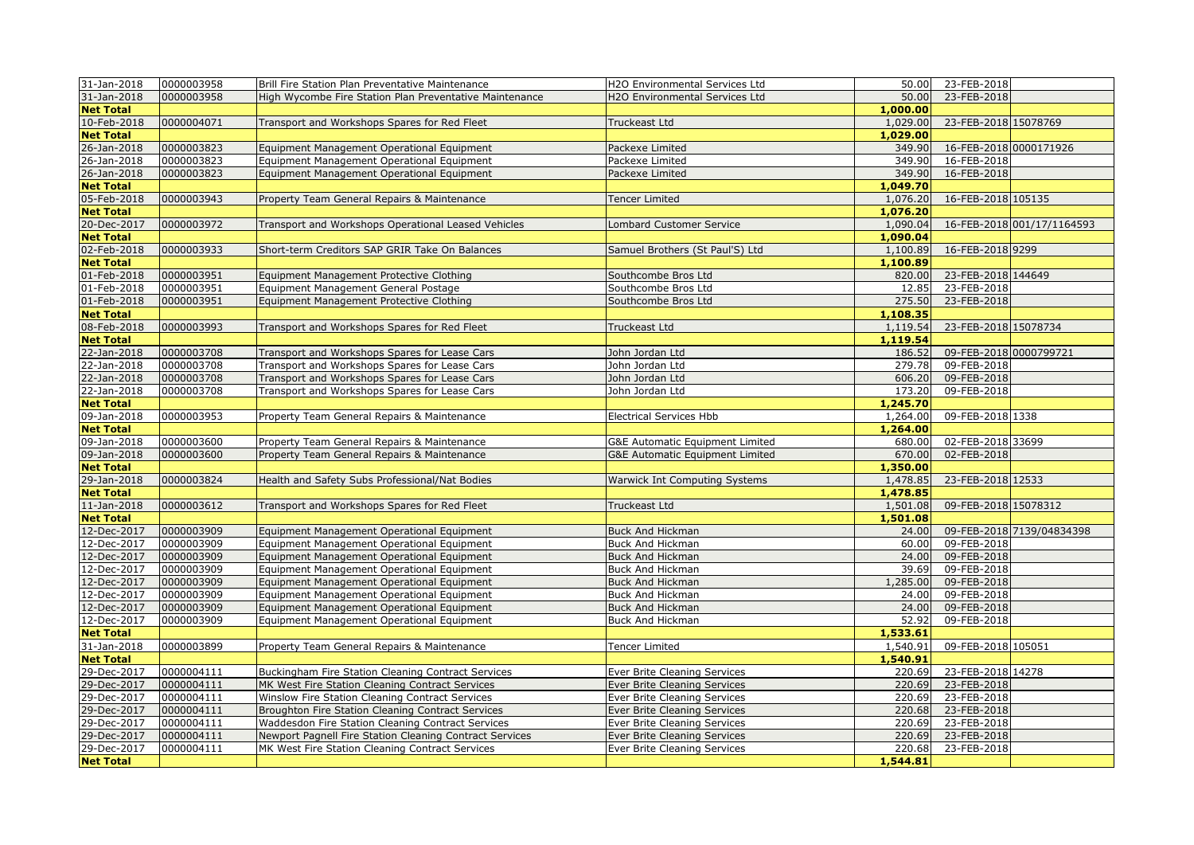| 31-Jan-2018      | 0000003958 | Brill Fire Station Plan Preventative Maintenance                                         | H2O Environmental Services Ltd  | 50.00    | 23-FEB-2018                |                            |
|------------------|------------|------------------------------------------------------------------------------------------|---------------------------------|----------|----------------------------|----------------------------|
| 31-Jan-2018      | 0000003958 | High Wycombe Fire Station Plan Preventative Maintenance                                  | H2O Environmental Services Ltd  | 50.00    | 23-FEB-2018                |                            |
| <b>Net Total</b> |            |                                                                                          |                                 | 1,000.00 |                            |                            |
| 10-Feb-2018      | 0000004071 | Transport and Workshops Spares for Red Fleet                                             | Truckeast Ltd                   | 1,029.00 | 23-FEB-2018 15078769       |                            |
| <b>Net Total</b> |            |                                                                                          |                                 | 1,029.00 |                            |                            |
| 26-Jan-2018      | 0000003823 | Equipment Management Operational Equipment                                               | Packexe Limited                 | 349.90   | 16-FEB-2018 0000171926     |                            |
| 26-Jan-2018      | 0000003823 | Equipment Management Operational Equipment                                               | Packexe Limited                 | 349.90   | 16-FEB-2018                |                            |
| 26-Jan-2018      | 0000003823 | Equipment Management Operational Equipment                                               | Packexe Limited                 | 349.90   | 16-FEB-2018                |                            |
| <b>Net Total</b> |            |                                                                                          |                                 | 1,049.70 |                            |                            |
| 05-Feb-2018      | 0000003943 | Property Team General Repairs & Maintenance                                              | <b>Tencer Limited</b>           | 1,076.20 | 16-FEB-2018 105135         |                            |
| <b>Net Total</b> |            |                                                                                          |                                 | 1,076.20 |                            |                            |
| 20-Dec-2017      | 0000003972 | Transport and Workshops Operational Leased Vehicles                                      | Lombard Customer Service        | 1,090.04 |                            | 16-FEB-2018 001/17/1164593 |
| <b>Net Total</b> |            |                                                                                          |                                 | 1,090.04 |                            |                            |
| 02-Feb-2018      | 0000003933 | Short-term Creditors SAP GRIR Take On Balances                                           | Samuel Brothers (St Paul'S) Ltd | 1,100.89 | 16-FEB-2018 9299           |                            |
| <b>Net Total</b> |            |                                                                                          |                                 | 1,100.89 |                            |                            |
| 01-Feb-2018      | 0000003951 | Equipment Management Protective Clothing                                                 | Southcombe Bros Ltd             | 820.00   | 23-FEB-2018 144649         |                            |
| 01-Feb-2018      | 0000003951 | Equipment Management General Postage                                                     | Southcombe Bros Ltd             | 12.85    | 23-FEB-2018                |                            |
| 01-Feb-2018      | 0000003951 | Equipment Management Protective Clothing                                                 | Southcombe Bros Ltd             | 275.50   | 23-FEB-2018                |                            |
| <b>Net Total</b> |            |                                                                                          |                                 | 1,108.35 |                            |                            |
| 08-Feb-2018      | 0000003993 | Transport and Workshops Spares for Red Fleet                                             | Truckeast Ltd                   | 1,119.54 | 23-FEB-2018 15078734       |                            |
| <b>Net Total</b> |            |                                                                                          |                                 | 1,119.54 |                            |                            |
| 22-Jan-2018      | 0000003708 | Transport and Workshops Spares for Lease Cars                                            | John Jordan Ltd                 | 186.52   | 09-FEB-2018 0000799721     |                            |
| 22-Jan-2018      | 0000003708 | Transport and Workshops Spares for Lease Cars                                            | John Jordan Ltd                 | 279.78   | 09-FEB-2018                |                            |
| 22-Jan-2018      | 0000003708 | Transport and Workshops Spares for Lease Cars                                            | John Jordan Ltd                 | 606.20   | 09-FEB-2018                |                            |
| 22-Jan-2018      | 0000003708 | Transport and Workshops Spares for Lease Cars                                            | John Jordan Ltd                 | 173.20   | 09-FEB-2018                |                            |
| <b>Net Total</b> |            |                                                                                          |                                 | 1,245.70 |                            |                            |
| 09-Jan-2018      | 0000003953 | Property Team General Repairs & Maintenance                                              | <b>Electrical Services Hbb</b>  | 1,264.00 | 09-FEB-2018 1338           |                            |
| <b>Net Total</b> |            |                                                                                          |                                 | 1,264.00 |                            |                            |
| 09-Jan-2018      | 0000003600 | Property Team General Repairs & Maintenance                                              | G&E Automatic Equipment Limited | 680.00   | 02-FEB-2018 33699          |                            |
| 09-Jan-2018      | 0000003600 | Property Team General Repairs & Maintenance                                              | G&E Automatic Equipment Limited | 670.00   | 02-FEB-2018                |                            |
| <b>Net Total</b> |            |                                                                                          |                                 | 1,350.00 |                            |                            |
| 29-Jan-2018      | 0000003824 | Health and Safety Subs Professional/Nat Bodies                                           | Warwick Int Computing Systems   | 1,478.85 | 23-FEB-2018 12533          |                            |
| <b>Net Total</b> |            |                                                                                          |                                 | 1,478.85 |                            |                            |
| 11-Jan-2018      | 0000003612 | Transport and Workshops Spares for Red Fleet                                             | Truckeast Ltd                   | 1,501.08 | 09-FEB-2018 15078312       |                            |
| <b>Net Total</b> |            |                                                                                          |                                 | 1,501.08 |                            |                            |
| 12-Dec-2017      | 0000003909 | Equipment Management Operational Equipment                                               | <b>Buck And Hickman</b>         | 24.00    |                            | 09-FEB-2018 7139/04834398  |
| 12-Dec-2017      | 0000003909 | Equipment Management Operational Equipment                                               | Buck And Hickman                | 60.00    | 09-FEB-2018                |                            |
| 12-Dec-2017      | 0000003909 | Equipment Management Operational Equipment                                               | <b>Buck And Hickman</b>         | 24.00    | 09-FEB-2018                |                            |
| 12-Dec-2017      | 0000003909 | Equipment Management Operational Equipment                                               | <b>Buck And Hickman</b>         | 39.69    | 09-FEB-2018                |                            |
| 12-Dec-2017      | 0000003909 |                                                                                          | <b>Buck And Hickman</b>         | 1,285.00 | 09-FEB-2018                |                            |
| 12-Dec-2017      | 0000003909 | Equipment Management Operational Equipment<br>Equipment Management Operational Equipment | Buck And Hickman                | 24.00    | 09-FEB-2018                |                            |
| 12-Dec-2017      | 0000003909 | Equipment Management Operational Equipment                                               | Buck And Hickman                | 24.00    | 09-FEB-2018                |                            |
| 12-Dec-2017      | 0000003909 | Equipment Management Operational Equipment                                               | <b>Buck And Hickman</b>         | 52.92    | 09-FEB-2018                |                            |
| <b>Net Total</b> |            |                                                                                          |                                 | 1,533.61 |                            |                            |
| 31-Jan-2018      | 0000003899 | Property Team General Repairs & Maintenance                                              | Tencer Limited                  | 1,540.91 | 09-FEB-2018 105051         |                            |
| <b>Net Total</b> |            |                                                                                          |                                 | 1,540.91 |                            |                            |
| 29-Dec-2017      |            | Buckingham Fire Station Cleaning Contract Services                                       |                                 | 220.69   | 23-FEB-2018 14278          |                            |
|                  | 0000004111 |                                                                                          | Ever Brite Cleaning Services    | 220.69   |                            |                            |
| 29-Dec-2017      | 0000004111 | MK West Fire Station Cleaning Contract Services                                          | Ever Brite Cleaning Services    |          | 23-FEB-2018<br>23-FEB-2018 |                            |
| 29-Dec-2017      | 0000004111 | Winslow Fire Station Cleaning Contract Services                                          | Ever Brite Cleaning Services    | 220.69   |                            |                            |
| 29-Dec-2017      | 0000004111 | Broughton Fire Station Cleaning Contract Services                                        | Ever Brite Cleaning Services    | 220.68   | 23-FEB-2018                |                            |
| 29-Dec-2017      | 0000004111 | Waddesdon Fire Station Cleaning Contract Services                                        | Ever Brite Cleaning Services    | 220.69   | 23-FEB-2018                |                            |
| 29-Dec-2017      | 0000004111 | Newport Pagnell Fire Station Cleaning Contract Services                                  | Ever Brite Cleaning Services    | 220.69   | 23-FEB-2018                |                            |
| 29-Dec-2017      | 0000004111 | MK West Fire Station Cleaning Contract Services                                          | Ever Brite Cleaning Services    | 220.68   | 23-FEB-2018                |                            |
| <b>Net Total</b> |            |                                                                                          |                                 | 1,544.81 |                            |                            |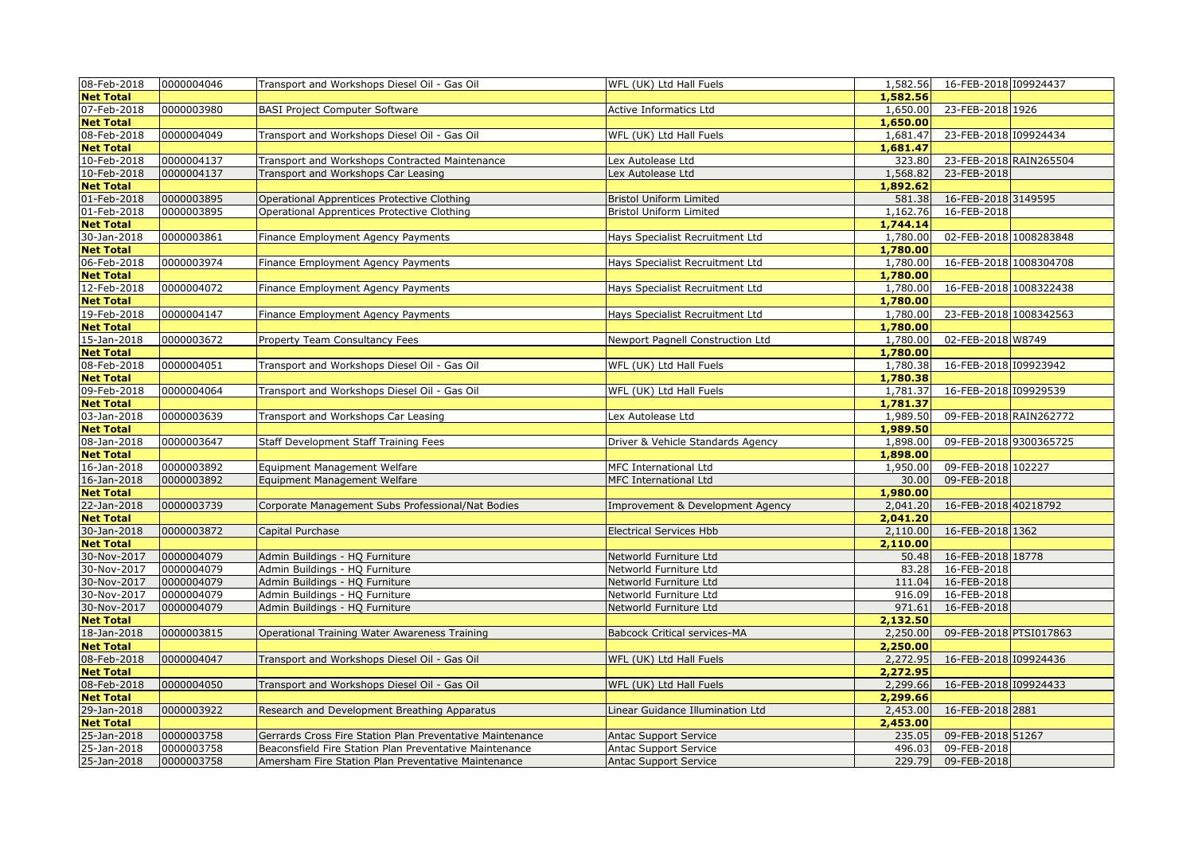| 08-Feb-2018                | 0000004046               | Transport and Workshops Diesel Oil - Gas Oil                     | WFL (UK) Ltd Hall Fuels                          | 1,582.56         | 16-FEB-2018 109924437      |  |
|----------------------------|--------------------------|------------------------------------------------------------------|--------------------------------------------------|------------------|----------------------------|--|
| <b>Net Total</b>           |                          |                                                                  |                                                  | 1,582.56         |                            |  |
| 07-Feb-2018                | 0000003980               | <b>BASI Project Computer Software</b>                            | Active Informatics Ltd                           | 1,650.00         | 23-FEB-2018 1926           |  |
| <b>Net Total</b>           |                          |                                                                  |                                                  | 1,650.00         |                            |  |
| 08-Feb-2018                | 0000004049               | Fransport and Workshops Diesel Oil - Gas Oil                     | WFL (UK) Ltd Hall Fuels                          | 1,681.47         | 23-FEB-2018 109924434      |  |
| <b>Net Total</b>           |                          |                                                                  |                                                  | 1,681.47         |                            |  |
| 10-Feb-2018                | 0000004137               | Transport and Workshops Contracted Maintenance                   | Lex Autolease Ltd                                | 323.80           | 23-FEB-2018 RAIN265504     |  |
| 10-Feb-2018                | 0000004137               | Transport and Workshops Car Leasing                              | Lex Autolease Ltd                                | 1,568.82         | 23-FEB-2018                |  |
| <b>Net Total</b>           |                          |                                                                  |                                                  | 1,892.62         |                            |  |
| 01-Feb-2018                | 0000003895               | Operational Apprentices Protective Clothing                      | <b>Bristol Uniform Limited</b>                   | 581.38           | 16-FEB-2018 3149595        |  |
| 01-Feb-2018                | 0000003895               | Operational Apprentices Protective Clothing                      | <b>Bristol Uniform Limited</b>                   | 1,162.76         | 16-FEB-2018                |  |
| <b>Net Total</b>           |                          |                                                                  |                                                  | 1,744.14         |                            |  |
| 30-Jan-2018                | 0000003861               | Finance Employment Agency Payments                               | Hays Specialist Recruitment Ltd                  | 1,780.00         | 02-FEB-2018 1008283848     |  |
| <b>Net Total</b>           |                          |                                                                  |                                                  | 1,780.00         |                            |  |
| 06-Feb-2018                | 0000003974               | Finance Employment Agency Payments                               | Hays Specialist Recruitment Ltd                  | 1,780.00         | 16-FEB-2018 1008304708     |  |
| <b>Net Total</b>           |                          |                                                                  |                                                  | 1,780.00         |                            |  |
| 12-Feb-2018                | 0000004072               | Finance Employment Agency Payments                               | Hays Specialist Recruitment Ltd                  | 1,780.00         | 16-FEB-2018 1008322438     |  |
| <b>Net Total</b>           |                          |                                                                  |                                                  | 1,780.00         |                            |  |
| 19-Feb-2018                | 0000004147               | Finance Employment Agency Payments                               | Hays Specialist Recruitment Ltd                  | 1,780.00         | 23-FEB-2018 1008342563     |  |
| <b>Net Total</b>           |                          |                                                                  |                                                  | 1,780.00         |                            |  |
| 15-Jan-2018                | 0000003672               | Property Team Consultancy Fees                                   | Newport Pagnell Construction Ltd                 | 1,780.00         | 02-FEB-2018 W8749          |  |
| <b>Net Total</b>           |                          |                                                                  |                                                  | 1,780.00         |                            |  |
| 08-Feb-2018                | 0000004051               | Transport and Workshops Diesel Oil - Gas Oil                     | WFL (UK) Ltd Hall Fuels                          | 1,780.38         | 16-FEB-2018 109923942      |  |
| <b>Net Total</b>           |                          |                                                                  |                                                  | 1,780.38         |                            |  |
| 09-Feb-2018                | 0000004064               | Transport and Workshops Diesel Oil - Gas Oil                     | WFL (UK) Ltd Hall Fuels                          | 1,781.37         | 16-FEB-2018 109929539      |  |
| <b>Net Total</b>           |                          |                                                                  |                                                  | 1,781.37         |                            |  |
| 03-Jan-2018                | 0000003639               | Transport and Workshops Car Leasing                              | Lex Autolease Ltd                                | 1,989.50         | 09-FEB-2018 RAIN262772     |  |
| <b>Net Total</b>           |                          |                                                                  |                                                  | 1,989.50         |                            |  |
| 08-Jan-2018                | 0000003647               | Staff Development Staff Training Fees                            | Driver & Vehicle Standards Agency                | 1,898.00         | 09-FEB-2018 9300365725     |  |
| <b>Net Total</b>           |                          |                                                                  |                                                  | 1,898.00         |                            |  |
| 16-Jan-2018                | 0000003892               | Equipment Management Welfare                                     | MFC International Ltd                            | 1,950.00         | 09-FEB-2018 102227         |  |
| 16-Jan-2018                | 0000003892               | Equipment Management Welfare                                     | MFC International Ltd                            | 30.00            | 09-FEB-2018                |  |
| <b>Net Total</b>           |                          |                                                                  |                                                  | 1,980.00         |                            |  |
| 22-Jan-2018                | 0000003739               | Corporate Management Subs Professional/Nat Bodies                | Improvement & Development Agency                 | 2,041.20         | 16-FEB-2018 40218792       |  |
| <b>Net Total</b>           |                          |                                                                  |                                                  | 2,041.20         |                            |  |
| 30-Jan-2018                | 0000003872               | Capital Purchase                                                 | <b>Electrical Services Hbb</b>                   | 2,110.00         | 16-FEB-2018 1362           |  |
| <b>Net Total</b>           |                          |                                                                  |                                                  | 2,110.00         |                            |  |
| 30-Nov-2017                | 0000004079               | Admin Buildings - HQ Furniture                                   | Networld Furniture Ltd                           | 50.48            | 16-FEB-2018 18778          |  |
| 30-Nov-2017                | 0000004079               | Admin Buildings - HQ Furniture                                   | Networld Furniture Ltd                           | 83.28            | 16-FEB-2018                |  |
| 30-Nov-2017                | 0000004079               | Admin Buildings - HQ Furniture                                   | Networld Furniture Ltd                           | 111.04           | 16-FEB-2018                |  |
| 30-Nov-2017<br>30-Nov-2017 | 0000004079<br>0000004079 | Admin Buildings - HQ Furniture<br>Admin Buildings - HQ Furniture | Networld Furniture Ltd<br>Networld Furniture Ltd | 916.09<br>971.61 | 16-FEB-2018<br>16-FEB-2018 |  |
| <b>Net Total</b>           |                          |                                                                  |                                                  | 2,132.50         |                            |  |
| 18-Jan-2018                | 0000003815               | Operational Training Water Awareness Training                    | <b>Babcock Critical services-MA</b>              | 2,250.00         | 09-FEB-2018 PTSI017863     |  |
| <b>Net Total</b>           |                          |                                                                  |                                                  | 2,250.00         |                            |  |
| 08-Feb-2018                | 0000004047               | Transport and Workshops Diesel Oil - Gas Oil                     | WFL (UK) Ltd Hall Fuels                          | 2,272.95         | 16-FEB-2018 109924436      |  |
| <b>Net Total</b>           |                          |                                                                  |                                                  | 2,272.95         |                            |  |
| 08-Feb-2018                | 0000004050               | Transport and Workshops Diesel Oil - Gas Oil                     | WFL (UK) Ltd Hall Fuels                          | 2,299.66         | 16-FEB-2018 109924433      |  |
| <b>Net Total</b>           |                          |                                                                  |                                                  | 2,299.66         |                            |  |
| 29-Jan-2018                | 0000003922               | Research and Development Breathing Apparatus                     | Linear Guidance Illumination Ltd                 | 2,453.00         | 16-FEB-2018 2881           |  |
| <b>Net Total</b>           |                          |                                                                  |                                                  | 2,453.00         |                            |  |
| 25-Jan-2018                | 0000003758               | Gerrards Cross Fire Station Plan Preventative Maintenance        | <b>Antac Support Service</b>                     | 235.05           | 09-FEB-2018 51267          |  |
| 25-Jan-2018                | 0000003758               | Beaconsfield Fire Station Plan Preventative Maintenance          | Antac Support Service                            | 496.03           | 09-FEB-2018                |  |
| 25-Jan-2018                | 0000003758               | Amersham Fire Station Plan Preventative Maintenance              | Antac Support Service                            | 229.79           | 09-FEB-2018                |  |
|                            |                          |                                                                  |                                                  |                  |                            |  |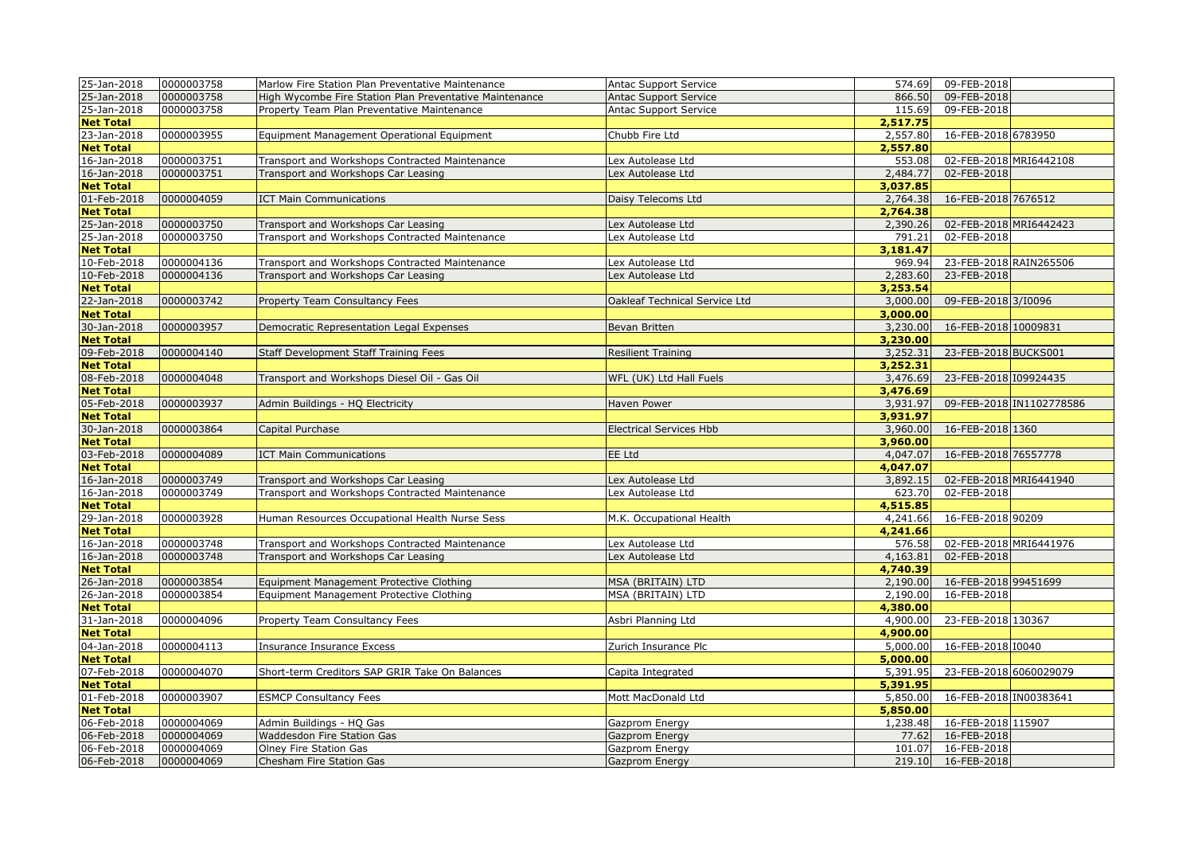| 25-Jan-2018      | 0000003758 | Marlow Fire Station Plan Preventative Maintenance       | Antac Support Service          | 574.69   | 09-FEB-2018            |                          |
|------------------|------------|---------------------------------------------------------|--------------------------------|----------|------------------------|--------------------------|
| 25-Jan-2018      | 0000003758 | High Wycombe Fire Station Plan Preventative Maintenance | <b>Antac Support Service</b>   | 866.50   | 09-FEB-2018            |                          |
| 25-Jan-2018      | 0000003758 | Property Team Plan Preventative Maintenance             | Antac Support Service          | 115.69   | 09-FEB-2018            |                          |
| <b>Net Total</b> |            |                                                         |                                | 2,517.75 |                        |                          |
| 23-Jan-2018      | 0000003955 | Equipment Management Operational Equipment              | Chubb Fire Ltd                 | 2,557.80 | 16-FEB-2018 6783950    |                          |
| <b>Net Total</b> |            |                                                         |                                | 2,557.80 |                        |                          |
| 16-Jan-2018      | 0000003751 | Transport and Workshops Contracted Maintenance          | Lex Autolease Ltd              | 553.08   | 02-FEB-2018 MRI6442108 |                          |
| 16-Jan-2018      | 0000003751 | Transport and Workshops Car Leasing                     | Lex Autolease Ltd              | 2,484.77 | 02-FEB-2018            |                          |
| <b>Net Total</b> |            |                                                         |                                | 3,037.85 |                        |                          |
| 01-Feb-2018      | 0000004059 | <b>ICT Main Communications</b>                          | Daisy Telecoms Ltd             | 2,764.38 | 16-FEB-2018 7676512    |                          |
| <b>Net Total</b> |            |                                                         |                                | 2,764.38 |                        |                          |
| 25-Jan-2018      | 0000003750 | Transport and Workshops Car Leasing                     | Lex Autolease Ltd              | 2,390.26 | 02-FEB-2018 MRI6442423 |                          |
| 25-Jan-2018      | 0000003750 | Transport and Workshops Contracted Maintenance          | Lex Autolease Ltd              | 791.21   | 02-FEB-2018            |                          |
| <b>Net Total</b> |            |                                                         |                                | 3,181.47 |                        |                          |
| 10-Feb-2018      | 0000004136 | Transport and Workshops Contracted Maintenance          | Lex Autolease Ltd              | 969.94   | 23-FEB-2018 RAIN265506 |                          |
| 10-Feb-2018      | 0000004136 | Transport and Workshops Car Leasing                     | Lex Autolease Ltd              | 2,283.60 | 23-FEB-2018            |                          |
| <b>Net Total</b> |            |                                                         |                                | 3,253.54 |                        |                          |
| 22-Jan-2018      | 0000003742 | Property Team Consultancy Fees                          | Oakleaf Technical Service Ltd  | 3,000.00 | 09-FEB-2018 3/10096    |                          |
| <b>Net Total</b> |            |                                                         |                                | 3,000.00 |                        |                          |
| 30-Jan-2018      | 0000003957 | Democratic Representation Legal Expenses                | Bevan Britten                  | 3,230.00 | 16-FEB-2018 10009831   |                          |
| <b>Net Total</b> |            |                                                         |                                | 3,230.00 |                        |                          |
| 09-Feb-2018      | 0000004140 | Staff Development Staff Training Fees                   | <b>Resilient Training</b>      | 3,252.31 | 23-FEB-2018 BUCKS001   |                          |
| <b>Net Total</b> |            |                                                         |                                | 3,252.31 |                        |                          |
| 08-Feb-2018      | 0000004048 | Transport and Workshops Diesel Oil - Gas Oil            | WFL (UK) Ltd Hall Fuels        | 3,476.69 | 23-FEB-2018 109924435  |                          |
| <b>Net Total</b> |            |                                                         |                                | 3,476.69 |                        |                          |
| 05-Feb-2018      | 0000003937 | Admin Buildings - HQ Electricity                        | <b>Haven Power</b>             | 3,931.97 |                        | 09-FEB-2018 IN1102778586 |
| <b>Net Total</b> |            |                                                         |                                | 3,931.97 |                        |                          |
| 30-Jan-2018      | 0000003864 | Capital Purchase                                        | <b>Electrical Services Hbb</b> | 3,960.00 | 16-FEB-2018 1360       |                          |
| <b>Net Total</b> |            |                                                         |                                | 3,960.00 |                        |                          |
| 03-Feb-2018      | 0000004089 | ICT Main Communications                                 | EE Ltd                         | 4,047.07 | 16-FEB-2018 76557778   |                          |
| <b>Net Total</b> |            |                                                         |                                | 4,047.07 |                        |                          |
| 16-Jan-2018      | 0000003749 | Transport and Workshops Car Leasing                     | Lex Autolease Ltd              | 3,892.15 | 02-FEB-2018 MRI6441940 |                          |
| 16-Jan-2018      | 0000003749 | Transport and Workshops Contracted Maintenance          | Lex Autolease Ltd              | 623.70   | 02-FEB-2018            |                          |
| <b>Net Total</b> |            |                                                         |                                | 4,515.85 |                        |                          |
| 29-Jan-2018      | 0000003928 | Human Resources Occupational Health Nurse Sess          | M.K. Occupational Health       | 4,241.66 | 16-FEB-2018 90209      |                          |
| <b>Net Total</b> |            |                                                         |                                | 4,241.66 |                        |                          |
| 16-Jan-2018      | 0000003748 | Transport and Workshops Contracted Maintenance          | Lex Autolease Ltd              | 576.58   | 02-FEB-2018 MRI6441976 |                          |
| 16-Jan-2018      | 0000003748 | Transport and Workshops Car Leasing                     | Lex Autolease Ltd              | 4,163.81 | 02-FEB-2018            |                          |
| <b>Net Total</b> |            |                                                         |                                | 4,740.39 |                        |                          |
| 26-Jan-2018      | 0000003854 | Equipment Management Protective Clothing                | MSA (BRITAIN) LTD              | 2,190.00 | 16-FEB-2018 99451699   |                          |
| 26-Jan-2018      | 0000003854 | Equipment Management Protective Clothing                | MSA (BRITAIN) LTD              | 2,190.00 | 16-FEB-2018            |                          |
| <b>Net Total</b> |            |                                                         |                                | 4,380.00 |                        |                          |
| 31-Jan-2018      | 0000004096 | Property Team Consultancy Fees                          | Asbri Planning Ltd             | 4,900.00 | 23-FEB-2018 130367     |                          |
| <b>Net Total</b> |            |                                                         |                                | 4,900.00 |                        |                          |
| 04-Jan-2018      | 0000004113 | Insurance Insurance Excess                              | Zurich Insurance Plc           | 5,000.00 | 16-FEB-2018 10040      |                          |
| <b>Net Total</b> |            |                                                         |                                | 5,000.00 |                        |                          |
| 07-Feb-2018      | 0000004070 | Short-term Creditors SAP GRIR Take On Balances          | Capita Integrated              | 5,391.95 | 23-FEB-2018 6060029079 |                          |
| <b>Net Total</b> |            |                                                         |                                | 5,391.95 |                        |                          |
| 01-Feb-2018      | 0000003907 | <b>ESMCP Consultancy Fees</b>                           | Mott MacDonald Ltd             | 5,850.00 | 16-FEB-2018 IN00383641 |                          |
| <b>Net Total</b> |            |                                                         |                                | 5,850,00 |                        |                          |
| 06-Feb-2018      | 0000004069 | Admin Buildings - HQ Gas                                | Gazprom Energy                 | 1,238.48 | 16-FEB-2018 115907     |                          |
| 06-Feb-2018      | 0000004069 | Waddesdon Fire Station Gas                              | Gazprom Energy                 | 77.62    | 16-FEB-2018            |                          |
| 06-Feb-2018      | 0000004069 | Olney Fire Station Gas                                  | Gazprom Energy                 | 101.07   | 16-FEB-2018            |                          |
| 06-Feb-2018      | 0000004069 | <b>Chesham Fire Station Gas</b>                         | Gazprom Energy                 | 219.10   | 16-FEB-2018            |                          |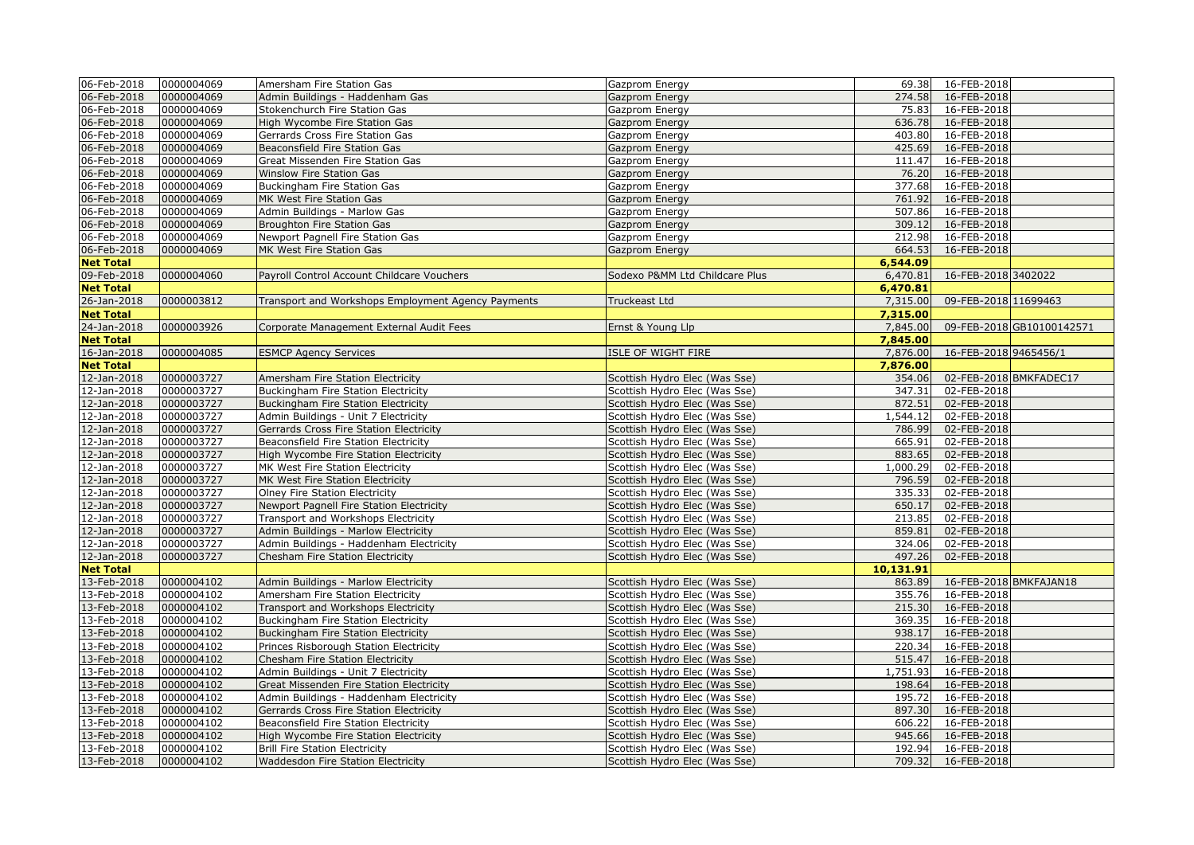| 06-Feb-2018      | 0000004069 | Amersham Fire Station Gas                          | Gazprom Energy                 | 69.38     | 16-FEB-2018            |                           |
|------------------|------------|----------------------------------------------------|--------------------------------|-----------|------------------------|---------------------------|
| 06-Feb-2018      | 0000004069 | Admin Buildings - Haddenham Gas                    | Gazprom Energy                 | 274.58    | 16-FEB-2018            |                           |
| 06-Feb-2018      | 0000004069 | Stokenchurch Fire Station Gas                      | Gazprom Energy                 | 75.83     | 16-FEB-2018            |                           |
| 06-Feb-2018      | 0000004069 | High Wycombe Fire Station Gas                      | Gazprom Energy                 | 636.78    | 16-FEB-2018            |                           |
| 06-Feb-2018      | 0000004069 | Gerrards Cross Fire Station Gas                    | Gazprom Energy                 | 403.80    | 16-FEB-2018            |                           |
| 06-Feb-2018      | 0000004069 | Beaconsfield Fire Station Gas                      | Gazprom Energy                 | 425.69    | 16-FEB-2018            |                           |
| 06-Feb-2018      | 0000004069 | Great Missenden Fire Station Gas                   | Gazprom Energy                 | 111.47    | 16-FEB-2018            |                           |
| 06-Feb-2018      | 0000004069 | Winslow Fire Station Gas                           | Gazprom Energy                 | 76.20     | 16-FEB-2018            |                           |
| 06-Feb-2018      | 0000004069 | Buckingham Fire Station Gas                        | Gazprom Energy                 | 377.68    | 16-FEB-2018            |                           |
| 06-Feb-2018      | 0000004069 | MK West Fire Station Gas                           | Gazprom Energy                 | 761.92    | 16-FEB-2018            |                           |
| 06-Feb-2018      | 0000004069 | Admin Buildings - Marlow Gas                       | Gazprom Energy                 | 507.86    | 16-FEB-2018            |                           |
| 06-Feb-2018      | 0000004069 | Broughton Fire Station Gas                         | Gazprom Energy                 | 309.12    | 16-FEB-2018            |                           |
| 06-Feb-2018      | 0000004069 | Newport Pagnell Fire Station Gas                   | Gazprom Energy                 | 212.98    | 16-FEB-2018            |                           |
| 06-Feb-2018      | 0000004069 | MK West Fire Station Gas                           | Gazprom Energy                 | 664.53    | 16-FEB-2018            |                           |
| <b>Net Total</b> |            |                                                    |                                | 6,544.09  |                        |                           |
| 09-Feb-2018      | 0000004060 | Payroll Control Account Childcare Vouchers         | Sodexo P&MM Ltd Childcare Plus | 6,470.81  | 16-FEB-2018 3402022    |                           |
| <b>Net Total</b> |            |                                                    |                                | 6,470.81  |                        |                           |
| 26-Jan-2018      | 0000003812 | Transport and Workshops Employment Agency Payments | Truckeast Ltd                  | 7,315.00  | 09-FEB-2018 11699463   |                           |
| <b>Net Total</b> |            |                                                    |                                | 7,315.00  |                        |                           |
| 24-Jan-2018      | 0000003926 | Corporate Management External Audit Fees           | Ernst & Young Llp              | 7,845.00  |                        | 09-FEB-2018 GB10100142571 |
| <b>Net Total</b> |            |                                                    |                                | 7,845.00  |                        |                           |
| 16-Jan-2018      | 0000004085 | <b>ESMCP Agency Services</b>                       | <b>ISLE OF WIGHT FIRE</b>      | 7,876.00  | 16-FEB-2018 9465456/1  |                           |
| <b>Net Total</b> |            |                                                    |                                | 7,876.00  |                        |                           |
| 12-Jan-2018      | 0000003727 | Amersham Fire Station Electricity                  | Scottish Hydro Elec (Was Sse)  | 354.06    |                        | 02-FEB-2018 BMKFADEC17    |
| 12-Jan-2018      | 0000003727 | Buckingham Fire Station Electricity                | Scottish Hydro Elec (Was Sse)  | 347.31    | 02-FEB-2018            |                           |
| 12-Jan-2018      | 0000003727 | Buckingham Fire Station Electricity                | Scottish Hydro Elec (Was Sse)  | 872.51    | 02-FEB-2018            |                           |
| 12-Jan-2018      | 0000003727 | Admin Buildings - Unit 7 Electricity               | Scottish Hydro Elec (Was Sse)  | 1,544.12  | 02-FEB-2018            |                           |
| 12-Jan-2018      | 0000003727 | Gerrards Cross Fire Station Electricity            | Scottish Hydro Elec (Was Sse)  | 786.99    | 02-FEB-2018            |                           |
| 12-Jan-2018      | 0000003727 | Beaconsfield Fire Station Electricity              | Scottish Hydro Elec (Was Sse)  | 665.91    | 02-FEB-2018            |                           |
| 12-Jan-2018      | 0000003727 | High Wycombe Fire Station Electricity              | Scottish Hydro Elec (Was Sse)  | 883.65    | 02-FEB-2018            |                           |
| 12-Jan-2018      | 0000003727 | MK West Fire Station Electricity                   | Scottish Hydro Elec (Was Sse)  | 1,000.29  | 02-FEB-2018            |                           |
| 12-Jan-2018      | 0000003727 | MK West Fire Station Electricity                   | Scottish Hydro Elec (Was Sse)  | 796.59    | 02-FEB-2018            |                           |
| 12-Jan-2018      | 0000003727 | Olney Fire Station Electricity                     | Scottish Hydro Elec (Was Sse)  | 335.33    | 02-FEB-2018            |                           |
| 12-Jan-2018      | 0000003727 | Newport Pagnell Fire Station Electricity           | Scottish Hydro Elec (Was Sse)  | 650.17    | 02-FEB-2018            |                           |
| 12-Jan-2018      | 0000003727 | Transport and Workshops Electricity                | Scottish Hydro Elec (Was Sse)  | 213.85    | 02-FEB-2018            |                           |
| 12-Jan-2018      | 0000003727 | Admin Buildings - Marlow Electricity               | Scottish Hydro Elec (Was Sse)  | 859.81    | 02-FEB-2018            |                           |
| 12-Jan-2018      | 0000003727 | Admin Buildings - Haddenham Electricity            | Scottish Hydro Elec (Was Sse)  | 324.06    | 02-FEB-2018            |                           |
| 12-Jan-2018      | 0000003727 | Chesham Fire Station Electricity                   | Scottish Hydro Elec (Was Sse)  | 497.26    | 02-FEB-2018            |                           |
| <b>Net Total</b> |            |                                                    |                                | 10,131.91 |                        |                           |
| 13-Feb-2018      | 0000004102 | Admin Buildings - Marlow Electricity               | Scottish Hydro Elec (Was Sse)  | 863.89    | 16-FEB-2018 BMKFAJAN18 |                           |
| 13-Feb-2018      | 0000004102 | Amersham Fire Station Electricity                  | Scottish Hydro Elec (Was Sse)  | 355.76    | 16-FEB-2018            |                           |
| 13-Feb-2018      | 0000004102 | Transport and Workshops Electricity                | Scottish Hydro Elec (Was Sse)  | 215.30    | 16-FEB-2018            |                           |
| 13-Feb-2018      | 0000004102 | <b>Buckingham Fire Station Electricity</b>         | Scottish Hydro Elec (Was Sse)  | 369.35    | 16-FEB-2018            |                           |
| 13-Feb-2018      | 0000004102 | <b>Buckingham Fire Station Electricity</b>         | Scottish Hydro Elec (Was Sse)  | 938.17    | 16-FEB-2018            |                           |
| 13-Feb-2018      | 0000004102 | Princes Risborough Station Electricity             | Scottish Hydro Elec (Was Sse)  | 220.34    | 16-FEB-2018            |                           |
| 13-Feb-2018      | 0000004102 | Chesham Fire Station Electricity                   | Scottish Hydro Elec (Was Sse)  | 515.47    | 16-FEB-2018            |                           |
| 13-Feb-2018      | 0000004102 | Admin Buildings - Unit 7 Electricity               | Scottish Hydro Elec (Was Sse)  | 1,751.93  | 16-FEB-2018            |                           |
| 13-Feb-2018      | 0000004102 | Great Missenden Fire Station Electricity           | Scottish Hydro Elec (Was Sse)  | 198.64    | 16-FEB-2018            |                           |
| 13-Feb-2018      | 0000004102 | Admin Buildings - Haddenham Electricity            | Scottish Hydro Elec (Was Sse)  | 195.72    | 16-FEB-2018            |                           |
| 13-Feb-2018      | 0000004102 | Gerrards Cross Fire Station Electricity            | Scottish Hydro Elec (Was Sse)  | 897.30    | 16-FEB-2018            |                           |
| 13-Feb-2018      | 0000004102 | Beaconsfield Fire Station Electricity              | Scottish Hydro Elec (Was Sse)  | 606.22    | 16-FEB-2018            |                           |
| 13-Feb-2018      | 0000004102 | High Wycombe Fire Station Electricity              | Scottish Hydro Elec (Was Sse)  | 945.66    | 16-FEB-2018            |                           |
| 13-Feb-2018      | 0000004102 | <b>Brill Fire Station Electricity</b>              | Scottish Hydro Elec (Was Sse)  | 192.94    | 16-FEB-2018            |                           |
| 13-Feb-2018      | 0000004102 | Waddesdon Fire Station Electricity                 | Scottish Hydro Elec (Was Sse)  |           | 709.32 16-FEB-2018     |                           |